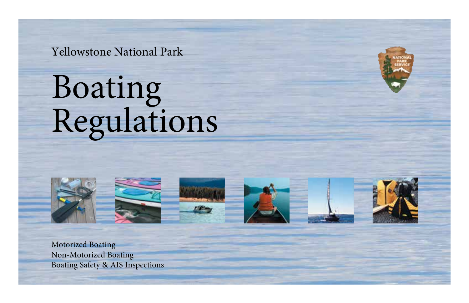Yellowstone National Park

# Boating Regulations











Motorized Boating Non-Motorized Boating Boating Safety & AIS Inspections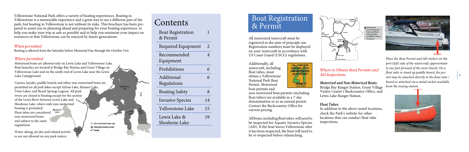All motorized watercraft must be registered in the state of principle use. Registration numbers must be displayed on your watercraft in accordance with US Coast Guard (USCG) regulations.

Additionally, all watercraft, including float tubes, must obtain a Yellowstone National Park Boat Permit. Motorized

**YELLOWSTONE** NATIONAL PARK **BOATPERMIT HISTORICA DI** 2014004

boat permits and non-motorized boat permits (including float tubes) are available in a 7-day denomination or as an annual permit. Contact the Backcountry Office for current pricing.

All boats, including float tubes, will need to be inspected for Aquatic Invasive Species (AIS). If the boat leaves Yellowstone after it has been inspected, the boat will need to be re-inspected before relaunching.

*Place the Boat Permit and AIS stickers on the port (left) side of the watercraft, approximately one foot forward of the stern (back). On a float tube or stand up paddle board, the permit may be attached directly to the float tube / board or attached via a metal wicket available from the issuing station.*

## *Where to Obtain Boat Permits and AIS Inspections*

*Motorized and Non-Motorized Boats:*  Bridge Bay Ranger Station, Grant Village Visitor Center's Backcountry Office, and Lewis Lake Ranger Station.

*Float Tubes:* In addition to the above noted locations, check the Park's [website](https://www.nps.gov/yell/planyourvisit/boating.htm) for other locations that can conduct float tube inspections.

Yellowstone National Park offers a variety of boating experiences. Boating in Yellowstone is a memorable experience and a great way to see a different part of the park, but boating in Yellowstone is not without its risks. This brochure has been prepared to assist you in planning ahead and preparing for your boating experience, to help you make your trip as safe as possible and to help you minimize your impact on resources so that Yellowstone can be enjoyed by future generations.

| Contents                             |    |
|--------------------------------------|----|
| <b>Boat Registration</b><br>& Permit | 1  |
| Required Equipment                   | 2  |
| Recommended<br>Equipment             | 4  |
| Prohibitions                         | 6  |
| Additional<br>Regulations            | 6  |
| <b>Boating Safety</b>                | 8  |
| <b>Invasive Species</b>              | 14 |
| Yellowstone Lake                     | 15 |
| Lewis Lake &<br>Shoshone Lake        | 19 |
|                                      |    |

1



# Boat Registration & Permit

#### *When permitted*

Boating is allowed from the Saturday before Memorial Day through the October 31st.

## *Where permitted*

Motorized boats are allowed only on Lewis Lake and Yellowstone Lake. Boat launches are located at Bridge Bay Marina and Grant Village on Yellowstone Lake and on the south end of Lewis Lake near the Lewis Lake Campground.

Canoes, kayaks, paddle boards and other non-motorized boats are permitted on all park lakes except Sylvan Lake, Eleanor Lake, Twin Lakes, and Beach Springs Lagoon. All park rivers are closed to boating except for the section of the Lewis River between Lewis Lake and Shoshone Lake, where only non-motorized boating is permitted. Shoshone Float tubes are considered non-motorized boats and subject to the same regulations.

Water-skiing, jet skis and related activities are not allowed on any park waters.

Non-motorized boats only Motorized boating zones

*<u>ANGELINE</u>* 

**Mammoth**

**Bridge Bay Marina Grant**

**Norris**

**West Yellowstone**

**Old Faithful**



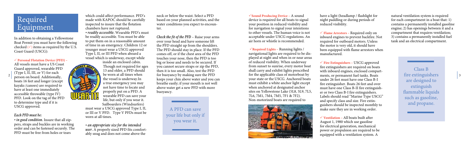$\sqrt{\frac{2}{\pi}}$ Sound Producing Device – A sound device is required for all boats to signal your position in reduced visibility and for navigation to signal your intentions to other vessels. The human voice is not acceptable under USCG regulations. An air horn or whistle is recommended.

 $\checkmark$  Required Lights – Running lights / navigational lights are required to be displayed at night and when in or near areas of reduced visibility. When underway from sunset to sunrise, every motor boat shall carry and exhibit lights prescribed for the applicable class of motorboat by your state or the USCG. Anchored boats must exhibit a white anchor light except when anchored at designated anchor sites on Yellowstone Lake (5L8, 5L9, 7L5, 7L6, 7M1, 7M4, 7M5, 7F1 & 7F2). Non-motorized boats are required to 2 person on board Additionally be worn at all times when for buoyancy by making sure the PFD tor the applicable class of motorboat by ments, or permanent fuel tanks. Boats fire extinguishers and additionally be worn at all



 $\checkmark$  Flame Arrestors – Required only on inboard engines to prevent backfire. Not required for outboard motors. Unless the motor is very old, it should have been equipped with flame arrestors when manufactured.

 $\checkmark$  Fire Extinguishers – USCG approved fire extinguishers are required on boats with inboard engines, enclosed compartunder 26 feet must have one Class B-I fire extinguisher. Boats 26 feet and over must have one Class B-II fire extinguisher or two Class B-I fire extinguishers. Labels should read "Marine Type USCG" and specify class and size. Fire extinguishers should be inspected monthly to make sure they are in working order.

natural ventilation system is required for each compartment in a boat that: 1) contains a permanently installed gasoline engine; 2) has openings between it and a compartment that requires ventilation; 3) contains a permanently installed fuel tank and an electrical compartment.

 $\checkmark$  Ventilation – All boats built after August 1, 1980 which use gasoline for electrical generation, mechanical power or propulsion are required to be equipped with a ventilation system. A

have a light (headlamp / flashlight for night paddling or during periods of reduced visibility.

neck or below the waist. Select a PFD based on your planned activities, and the water conditions you expect to encounter.

*Check the fit of the PFD –* Raise your arms over your head and have someone lift the PFD straight up from the shoulders. The PFD should stay in place. If the PFD comes off, or if the chest area of the PFD touches your nose, then the PFD is too big or loose and needs to be secured. If you cannot secure straps or zip the PFD, then it is too small. Also, test the PFD for buoyancy by making sure the PFD keeps your chin above water and you can breathe easily; if your mouth is not well above water get a new PFD with more buoyancy.

which could affect performance. PFD's made with KAPOC should be carefully inspected to insure that the flotation chambers have not ruptured. *• readily accessible.* Wearable PFD's must be readily accessible. You must be able to put them on in a reasonable amount of time in an emergency. Children 12 or younger must wear a USCG approved Type I, II, or III PFD when aboard a vessel which is underway, except while

inside an enclosed cabin. Though not required for ages 13 and older, a PFD should be worn at all times when the vessel is underway.In a true emergency you may not have time to locate and properly put on a PFD. A wearable PFD can save your life, but only if you wear it. Sailboarders (Windsurfers) must wear a USCG approved Type I, II, or III or V PFD. Type V PFDs must be worn at all times.

*• an appropriate size for the intended user.* A properly sized PFD fits comfortably snug and does not come above the

Wdiliti

# Required<br>Equipment

In addition to obtaining a Yellowstone Boat Permit you must have the following checked  $(\checkmark)$  items as required by the U.S. Coast Guard (USCG):

#### $\checkmark$  Personal Flotation Device (PFD) –

All vessels must have a US Coast Guard approved, wearable PFD (Type I, II, III, or V) for each person on board. Additionally, boats 16 feet and longer (except kayaks /canoes) are required to have at least one immediately accessible throwable (type IV) PFD. Look on the tag of the PFD to determine type and if it is USCG approved.

#### *Each PFD must be:*

*• in good condition.* Insure that all zippers, straps and buckles are in working order and can be fastened securely. The PFD must be free from holes or tears

Class B fire extinguishers are designed to extinguish flammable liquids such as gasoline, and propane.

A PFD can save your life but only if you wear it.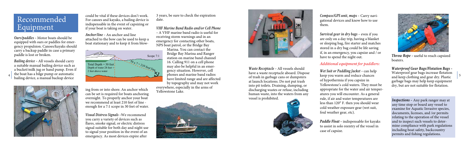3 years, be sure to check the expiration date.

#### *VHF Marine Band Radio and/or Cell Phone*

*–* A VHF marine band radio is useful for receiving storm warnings and in an emergency for contacting other boats, NPS boat patrol, or the Bridge Bay

Marina. You can contact the Bridge Bay Marina and Ranger station on marine band channel 16. Calling 911 on a cell phone may also be helpful in an emergency situation. However, cell phones and marine band radios have limited range and are affected by topography and may not work

everywhere, especially in the arms of Yellowstone Lake.



*Waste Receptacle –* All vessels should have a waste receptacle aboard. Dispose of trash in garbage cans or dumpsters at launch locations. Do not put trash into pit toilets. Draining, dumping, or discharging wastes or refuse, including human waste, into the waters from any vessel is prohibited.



*Compass/GPS unit, maps –* Carry navigational devices and know how to use

them.

*Survival gear in dry bags –* even if you are only on a day trip, having a blanket or sleeping bag, fire starter and matches stored in a dry bag could be life saving if, in an emergency, you capsize and / or

have to spend the night out.

## *Additional equipment for paddlers:*

*Wet Suit or Paddling Jacket –* can help Yellowstone's cold waters. They must be appropriate for the water and air temperatures you will encounter. As a general rule, if air and water temperatures are less than 120° F. then you should wear cold weather exposure gear (wet suit,

of hypothermia if you capsize in foul weather gear, etc).

*Paddle Float –* indispensable for kayaks to assist in solo reentry of the vessel in

case of capsize.

*Oars/paddles –* Motor boats should be equipped with oars or paddles for emergency propulsion. Canoes/kayaks should carry a backup paddle in case a primary paddle is lost or broken.

*Bailing device –* All vessels should carry a suitable manual bailing device such as a bucket/milk jug or hand pump. Even if the boat has a bilge pump or automatic bailing device, a manual backup device





could be vital if these devices don't work. For canoes and kayaks, a bailing device is indispensable in the event of capsizing or if your boat is taking on water.

*Anchor/line –* An anchor and line attached to the bow can be used to keep a boat stationary and to keep it from blow-

ing from or into shore. An anchor which can be set is required for boats anchoring overnight. To properly anchor your boat we recommend at least 210 feet of line enough for a 7:1 scope in 30 feet of water.

*Visual Distress Signals –*We recommend you carry a variety of devices such as flares, smoke signal, or electric distress signal suitable for both day and night use to signal your position in the event of an emergency. As most devices expire after

# Recommended Equipment



*Throw Rope –* useful to reach capsized boaters.

*Waterproof Gear Bags/Flotation Bags –* Waterproof gear bags increase flotation and keep clothing and gear dry. Plastic garbage bags may help keep equipment dry, but are not suitable for flotation.

*Inspections –* Any park ranger may at any time stop or board any vessel to examine for Aquatic Invasive species, documents, licenses, and /or permits relating to the operation of the vessel and to inspect such vessels to determine compliance with park regulations including boat safety, backcountry permits and fishing regulations.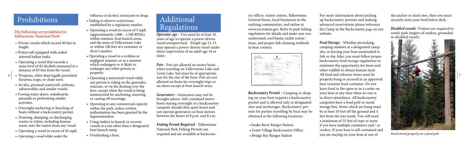## *The following are prohibited in Yellowstone National Park:*

- Private vessels which exceed 40 feet in length.
- Watercraft equipped with sealed internal ballast tanks.
- Operating a vessel that exceeds a noise level of 82 decibels measured at a distance of 85 feet from the vessel.
- firearms, traps, or chain saws.
- Jet skis, personal watercraft, airboats, submersibles and similar vessels.
- Towing water skiers, wakeboards, parasails or performing similar activities.
- Overnight anchoring or beaching of boats without a backcountry permit.
- Draining, dumping, or discharging wastes or refuse, including human waste, into the waters from any vessel.
- Operating a vessel in excess of 45 mph.
- Operating a vessel while under the

influence of alcohol, intoxicants or drugs.

- Failing to observe restrictions established by a regulatory marker.
- Operating a vessel in excess of 5 mph (approximately 1,000 - 1,100 RPMs) within marinas, boat launch areas, and the arms of Yellowstone Lake or within 100 feet of a swimmer or diver's marker.
- Operating a vessel in a reckless or negligent manner, or in a manner which endangers or is likely to endanger any other person or property.
- Operating a motorized vessel while any person is riding on the gunwales, transom, or on the decking over the bow, except when the vessel is being maneuvered for anchoring, mooring or casting off moorings.
- Operating in any commercial capacity within the park, unless written authorization has been granted by the Superintendent.
- Using trailers to launch or recover vessels at a site other than a designated boat launch ramp.
- Overloading a boat.

# Prohibitions

*Operator age –* You must be at least 16 years of age to operate a power-driven vessel unsupervised. People age 12-15 may operate a power-driven vessel under direct supervision of an adult age 18 or older.

*Pets –* Pets are allowed on motor boats when traveling on Yellowstone Lake and Lewis Lake, but must be of appropriate size for the size of the boat. Pets are not allowed on boats for overnight trips or on shore except at boat launch areas.

• Weapons, other than legally permitted 6 7 *Food Storage –* Whether picnicking, camping onshore at a designated campsite, or leaving your boat unattended to fish or day-hike, you must follow proper backcountry food storage regulations to minimize the opportunity for bears and other wildlife to obtain human food. All food and odorous items must be properly hung or secured in an approved bear resistant food container. Do not leave food in the open or in a cooler on your boat at any time when no one is in direct attendance. All backcountry campsites have a food pole or metal storage box. Items which are hung must be at least 10 feet off the ground and 4 feet from the tree trunk. You will need a minimum of 35 feet of rope or more if you have multiple containers and / or coolers. If your boat is self-contained and you are staying on your boat at one of

*Generators –* Generators may not be brought ashore. Self-contained motor boats staying overnight at a backcountry campsite should obey quiet hours and not operate generators or boat motors between the hours of 8 p.m. and 8 a.m.

*Fishing Permit Required –* Yellowstone National Park Fishing Permits are required and are available at backcoun-

# Additional Regulations



*Food stored properly on a food pole*

try offices, visitor centers, Yellowstone General Stores, local businesses in the outlying communities, and online at www.recreation.gov. Refer to park fishing regulations for details and make sure you understand creel limits, tackle restrictions, and proper fish cleaning methods in bear country.



*Backcountry Permit –* Camping or sleeping on your boat requires a backcountry permit and is allowed only at designated sites and anchorages. Backcountry permits for parties travelling by boat may be obtained at the following locations:

- Snake River Ranger Station
- Grant Village Backcountry Office
- Bridge Bay Ranger Station

For more information about picking up backcountry permits and making advanced reservations please reference the [Camp in the Backcountry page](https://www.nps.gov/yell/planyourvisit/backcountryhiking.htm) on our

website.

the anchor or dock sites, then you must securely store your food below deck.

*Disabled vessels -*Visitors are required to notify park rangers of sunken, grounded or disabled vessels.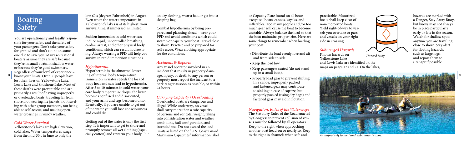*An improperly loaded and unbalanced canoe.* 

or Capacity Plate found on all boats except sailboats, canoes, kayaks, and inflatables. Too many people and /or too much gear will cause the boat to become unstable. Always balance the load so that the boat maintains proper trim. Here are some things to remember when loading your boat:

- Distribute the load evenly fore and aft and from side to side.
- Keep the load low.
- Keep passengers seated (do not stand up in a small boat).
- Properly load gear to prevent shifting. In a canoe, improperly packed and fastened gear may contribute to sinking in case of capsize, but properly packed (using dry bags) and fastened gear may aid in flotation.

#### *Navigation, Rules of the Waterways*

The Statutory Rules of the Road enacted by Congress to prevent collision of ves sels must be followed by all operators. Keep to the right when approaching another boat head-on or nearly so. Keep to the right in channels when safe and

hazards are marked with a Danger, Stay Away Buoy, but buoys may not always be in place particularly early or late in the season. Watch for shallow spots anytime you are traveling close to shore. Stay alert for floating hazards, such as large logs, and report them to a ranger if possible.



practicable. Motorized boats shall keep clear of non-motorized boats. Yield right-of-way to ves sels you overtake or pass and vessels on your right side in crossing.

#### *Submerged Hazards*

You are operationally and legally respon sible for your safety and the safety of your passengers. Don't take your safety for granted and don't count on some one else to save you. Many recreational boaters assume they are safe because they're in small boats, in shallow water, or because they're good swimmers. Regardless of your level of experience – 8 know your limits. Over 50 people have lost their lives on Yellowstone Lake, Lewis Lake and Shoshone Lake. Most of these deaths were preventable and are primarily a result of having improperly or overloaded boats, traveling far from

shore, not wearing life jackets, not travel ing with other group members, not being able to self-rescue, and making openwater crossings in windy weather.

#### *Cold Water Survival*

Yellowstone's lakes are high elevation, cold lakes. Water temperatures range from the mid-30's in June to only the

on dry clothing, wear a hat, or get into a sleeping bag.

Combat hypothermia by being pre pared and planning ahead – wear your PFD and avoid conditions which could swamp or capsize your boat. Travel close to shore. Practice and be prepared for self-rescue. Wear clothing appropriate for the conditions.

#### *Accidents & Reports*

Any vessel operator involved in an incident that results in property dam age, injury, or death to any person or property must report the incident to a park ranger as soon as possible, or within 24 hours.

Known hazards on Yellowstone Lake and Lewis Lake are identified on the maps on pages 17 and 21. On the lakes, *Hazard Buoy*





#### *Carrying Capacity / Overloading*

Overloaded boats are dangerous and illegal. While underway, no vessel shall carry more than a safe capacity of persons and /or total weight, taking into consideration water and weather conditions, hull configuration, and intended use. Do not exceed the load limits as listed on the "U.S. Coast Guard Maximum Capacities" information label

low 60's (degrees Fahrenheit) in August. Even when the water temperature in Yellowstone's lakes is at its highest, your survival time, if immersed, is limited.

Sudden immersion in cold water can induce rapid, uncontrolled breathing, cardiac arrest, and other physical body conditions, which can result in drown ing. Always wearing a PFD will help you survive in rapid immersion situations.

#### *Hypothermia*

Hypothermia is the abnormal lower ing of internal body temperature. Immersion in water speeds the loss of body heat and can lead to hypothermia. After 5 to 10 minutes in cold water, your core body temperature drops, the brain becomes confused and disoriented, and your arms and legs become numb. Eventually, if you are unable to get out of the water you will lose consciousness and could die.

Getting out of the water is only the first step. It is important to get to shore and promptly remove all wet clothing (espe cially cotton) and rewarm your body. Put 9

# Boating Safety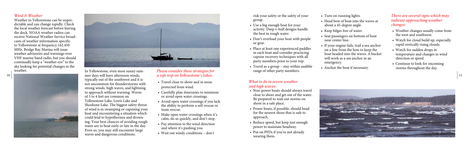### *There are several signs which may indicate approaching weather changes:*

- Weather changes usually come from the west and southwest.
- Watch for cloud build up, especially rapid vertically rising clouds.
- Watch for sudden drops in temperature and changes in wind direction or speed.
- Continue to look for oncoming storms throughout the day.



#### *Wind & Weather*

Weather in Yellowstone can be unpredictable and can change rapidly. Check the local weather forecast before leaving the dock. NOAA weather radios can receive National Weather Service broadcasts of weather information specific to Yellowstone at frequency 162.450 MHz. Bridge Bay Marina will issue weather advisories and warnings over VHF marine band radio, but you should continually keep a "weather eye" to the sky looking for potential changes in the weather. *Please consider these strategies for* 

- Travel close to shore and in areas protected from wind.
- Carefully plan itineraries to minimize or avoid open water crossings.
- Avoid open water crossings if you lack the ability to perform a self-rescue or team-rescue.
- Make open water crossings when it's calm, do so quickly, and don't stop.
- Pay attention to the wind direction and where it's pushing you.
- Wait out windy conditions don't





In Yellowstone, even most sunny summer days will have afternoon winds, typically out of the southwest and it is not uncommon for thunderstorms with strong winds, high waves, and lightning to approach without warning. Waves of 3 to 4 feet are common on Yellowstone Lake, Lewis Lake and Shoshone Lake. The biggest safety threat of wind is in swamping or capsizing your boat and encountering a situation which could lead to hypothermia and drowning. Your best chances of avoiding rough water are to boat early or late in the day. Even so, you may still encounter large waves and dangerous conditions.

risk your safety or the safety of your group.

- Use a big enough boat for your activity. Deep v-hull designs handle the best in rough water.
- Don't overload your boat with people or gear.
- Place at least one experienced paddler in each boat and consider practicing capsize recovery techniques with all party members prior to your trip.
- Travel as a group stay within audible range of other party members.

#### *What to do in severe weather and high waves:*

- Non-power boats should always travel close to shore and get out of the water. Be prepared to wait out storms on shore in a safe place.
- Power boats, if possible, should head for the nearest shore that is safe to approach.
- Reduce speed, but keep just enough power to maintain headway.
- Put on PFDs if you're not already wearing them.
- Turn on running lights.
- Head bow of boat into the waves at about a 45-degree angle.
- Keep bilges free of water.
- Seat passengers on bottom of boat near center line.
- emergency.
- 



• If your engine fails, trail a sea anchor on a line from the bow to keep the boat headed into the waves. A bucket will work as a sea anchor in an

• Anchor the boat if necessary.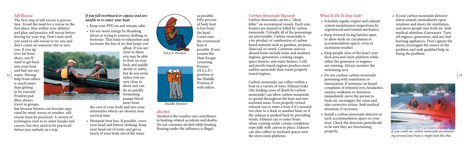#### *Carbon Monoxide Hazards*

Carbon Monoxide can be a "silent killer" on recreational vessels. Each year, boaters are injured or killed by carbon monoxide. Virtually all of the poisonings are preventable. Carbon monoxide is a by-product of combustion of carbon based material such as gasoline, propane, charcoal, or wood. Common sources aboard boats include main and auxiliary engines, generators, cooking ranges, space heaters, and water heaters. Cold and poorly tuned engines produce more carbon monoxide than warm properly tuned engines.

Carbon monoxide can collect within a boat in a variety of ways. Exhaust leaks (the leading cause of death by carbon monoxide) can allow carbon monoxide to spread throughout the boat and into enclosed areas. Even properly vented exhaust can re-enter a boat if it's moored too close to a dock or another boat, or if the exhaust is pushed back by prevailing winds. Exhaust can re-enter boats when cruising under certain conditions especially with canvas in place. Exhaust can also collect in enclosed spaces near the stern swim platform.

• Do not confuse carbon monoxide poisoning with seasickness or intoxication. If someone on board complains of irritated eyes, headaches, nausea, weakness or dizziness, immediately move the person to fresh air, investigate the cause and take corrective action. Seek medical not a contract the contract of the contract of the contract of the contract of the contract of the contract of the contract of the contract of the contract of the contract of the contract of the contract of the contract of

• If your carbon monoxide detector alarm sounds, immediately open windows and doors for ventilation and move people into fresh air. Seek medical attention if necessary. Turn off engines, generators, and any fuel burning appliances. Don't ignore the alarm, investigate the source of the problem and seek qualified help in fixing the problem.

## *What To Do To Stay Safe?*

• Schedule regular engine and exhaust system maintenance inspections by experienced and trained mechanics.

• Keep people clear of the boat's rear deck area and swim platform while either the generator or engines are running. Always monitor the

- 
- Keep forward facing hatches open to allow fresh air circulation in accommodation spaces, even in inclement weather.
- swimming area.
- attention, if necessary.
- properly.

• Install a carbon monoxide detector in each accommodation space on your boat. Check the detectors periodically to be sure they are functioning

#### *Self Rescue*

The first step of self-rescue is prevention. Avoid the need for a rescue in the first place. Stay within your abilities and plan and practice self rescue before leaving for your trip. Don't wait until you need to self-rescue to try one and don't count on someone else to save

you. If you tip over far from shore, you'll need to get back into your boat and bail out any 12 water. Having help from others is much easier than getting in by yourself. Prudent paddlers always travel in groups,

but because boaters can become separated by wind, waves or weather, selfrescue must be practiced. A variety of techniques exist to re-enter kayaks and canoes, but they need to be practiced before you embark on a trip.

is lost from the head. Crawl onto the overturned boat if possible. If not, assume the Heat Escape Lessening Posture (H.E.L.P.) position or the Huddle Position if with others.

*Alcohol*

Alcohol is the number one contributor to boating-related accidents and deaths. Do not consume alcohol while boating. Boating under the influence is illegal.

### *If you fall overboard or capsize and are unable to re-enter your boat:*



- Keep your PFD on and remain calm
- Do not waste energy by thrashing about or trying to remove clothing or footwear. This leads to exhaustion and increases the loss of air that keeps you afloat. If you are

close to shore you may be able to float on your back and paddle slowly to safety, but do not swim unless you are very close to shore and can do so quickly. Swimming pumps blood away from

the core of your body and into your extremities which can shorten your survival time.

• Minimize heat loss. If possible, cover your head and button clothing. Keep your head out of water and get as much of your body out of the water

*Huddle Position*



*If you could see carbon monoxide accumulating around your boat it, might look like this.*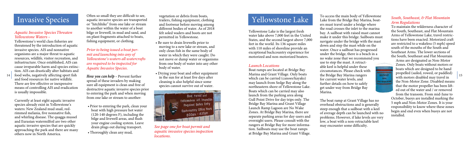Yellowstone Lake is the largest fresh water lake above 7,000 feet in the United States, and the second largest above 7,000 feet in the world. Its 136 square miles with 110 miles of shoreline provide an exceptional backcountry experience for motorized and non-motorized boaters.

Boat ramps are located at Bridge Bay Marina and Grant Village. Only boats which can be carried (canoes/kayaks) may launch from Sedge Bay along the northeastern shore of Yellowstone Lake. Boats which can be carried may also launch from the parking area along Gull Point Drive for day trips only. The Bridge Bay Marina and Grant Village Launch Ramp Lagoon are No Wake Zones. At Bridge Bay Marina, there are separate parking areas for day-users and overnight users. Please consult with the rangers at Bridge Bay for more information. Sailboats may use the boat ramps at Bridge Bay Marina and Grant Village. 14 food webs, negatively affecting sport fish How you can help - Prevent further in the sum for at least five dure of the direct of the discussion of the country of the Bridge. Only boats the Bridge Bay Marina rangers with

#### *Launch Locations*

#### *South, Southeast, & Flat Mountain Arm Regulations*

To maintain the wilderness character of the South, Southeast, and Flat Mountain Arms of Yellowstone Lake, travel restrictions have been enacted. Motorized craft are restricted to a wakeless (5 mph) speed south of the mouths of the South and Southeast Arms. The lower sections of the South, Southeast and Flat Mountain

Arms are designated as Non-Motor Zones. Only boats without motors or boats which are designed to be hand propelled (sailed, rowed, or paddled) with motors disabled may travel in the Non-Motor Zone. Disabled means that the motor propeller has been lifted out of the water and / or removed from the transom. From mid-June to

October, buoys are installed marking the 5 mph and Non-Motor Zones. It is your responsibility to know where these zones begin and end even when buoys are not installed.

To access the main body of Yellowstone Lake from the Bridge Bay Marina, boaters must travel under a bridge where the road crosses the inlet to the marina bay. A sailboat with raised mast cannot make it under this bridge. Sailboats must navigate under the bridge with the mast down and step the mast while on the water. Once a sailboat has progressed under the bridge, there is a beach in a no wake zone that we recommend you

Often so small they are difficult to see, aquatic invasive species are transported or "hitchhike" from one lake or stream to another within the water of a boat bilge or livewell, in mud and sand, and on plant fragments attached to boats, fishing equipment, or clothing. Invasive Species aguatic invasive species are transported trailers, fishing equipment, clothing Yellowstone Lake

circumstances. Please check with



use to step the mast. A retractable keel is helpful under these the Bridge Bay Marina rangers for current water levels, and further details on how to safely get under way from Bridge Bay Marina.

The boat ramp at Grant Village has no overhead obstructions and is generally steep enough that a sailboat with a keel of average depth can be launched with no problems. However, if lake levels are very low, a boat with a non-retractable keel may encounter some difficulty.

#### *Aquatic Invasive Species Threaten Yellowstone Waters –*

Yellowstone's world class fisheries are threatened by the introduction of aquatic invasive species. AIS and nonnative organisms are a major threat to aquatic resources, wildlife, visitor recreation, and infrastructure. Once established, AIS can cause irreparable harm and species extinction. AIS can drastically alter habitats and

and food resources for native wildlife. There are few effective or inexpensive means of controlling AIS and eradication is usually impossible.

Currently at least eight aquatic invasive species already exist in Yellowstone's waters: New Zealand mud snail, redrimmed melania, five nonnative fish, and whirling disease. The quagga mussel and Eurasian watermilfoil are two other aquatic invasive species that are quickly approaching the park and there are many others now in North America.

vegetation or debris from boats, trailers, fishing equipment, clothing and footwear before moving among different bodies of water. As of 2018 felt soled waders and boots are not permitted in Yellowstone.

- Be sure to drain livewells prior to moving to a new lake or stream, and only clean fish in the same body of water in which they were caught. Do not move or dump water or organisms from one body of water into any other body of water.
- Drying your boat and other equipment in the sun for at least five days after cleaning is also helpful since some species cannot survive out of water.



*See page one for boat permit and aquatic invasive species inspection locations.*

*Prior to being issued a boat permit and launching into any of Yellowstone's waters all watercrafts are required to be inspected for Aquatic Invasive Species.*

*How you can help –* Prevent further spread of these invaders by making sure all equipment is clean and free of destructive aquatic invasive species prior to entering the park and when moving from one lake or stream to another:

- Prior to entering the park, clean your boat with high pressure hot water (120-140 degrees F), including the bilge and livewell areas, and flush your engine cooling system. Leave drain plugs out during transport.
- Thoroughly clean any mud,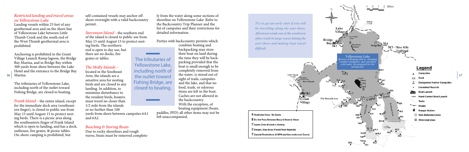#### *Restricted landing and travel areas on Yellowstone Lake*

Landing vessels within 25 feet of any geothermal area and on the shore line of Yellowstone Lake between Little Thumb Creek and the south end of the West Thumb geothermal area is prohibited.

The tributaries of Yellowstone Lake, including north of the outlet toward Fishing Bridge, are closed to boating.

*Frank Island –* the entire island, except for the immediate dock area (southeast ern finger), is closed to public use from May 15 until August 15 to protect nest ing birds. There is a picnic area along the southeastern finger of Frank Island which is open to landing, and has a dock, outhouse, fire grates, & picnic tables. On-shore camping is prohibited, but

ly from the water along some sections of shoreline on Yellowstone Lake. Refer to the Backcountry Trip Planner and the list of campsites and their restrictions for detailed information.

Parties with backcountry permits which

Anchoring is prohibited in the Grant Village Launch Ramp lagoon, the Bridge Bay Marina, and in Bridge Bay within 300 yards from shore between the Lake Hotel and the entrance to the Bridge Bay Marina. 16

#### combine boating and backpacking may store their boat on land during the time they will be back packing provided that the boat is small enough to be completely removed from the water, is stored out of sight of trails, campsites and the lake, and that no food, trash, or odorous items are left in the boat. Caches are not allowed in the backcountry. With the exception, of boating equipment (boats,

paddles, PFD) all other items may not be left unaccompanied.

self-contained vessels may anchor offshore overnight with a valid backcountry permit.

*Stevenson Island –* the southern end of the island is closed to public use from May 15 until August 15 to protect nest ing birds. The northern end is open to day use, but there are no docks, fire

grates or tables.

#### *The Molly Islands –*

located in the Southeast Arm, the islands are a sensitive area for nesting birds and are closed to any landing. In addition, to minimize disturbance to the resident birds, boaters must travel no closer than 1/2 mile from the islands or no further than 100

yards from shore between campsites 6A1 and 6A2.

### *Beaching & Storing Boats*

Due to rocky shorelines and rough waves, boats must be removed complete -

The tributaries of Yellowstone Lake, including north of the outlet toward Fishing Bridge, are closed to boating.





- 
- **E** Special Restrictions (5 MPH and Non-motorized Zones)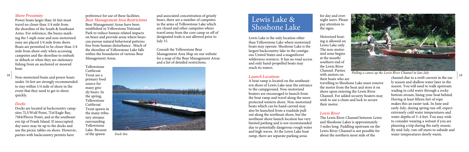Lewis Lake is the only location other than Yellowstone Lake where motorized boats may operate. Shoshone Lake is the largest backcountry lake in the contiguous United States and a magnificent wilderness resource. It has no road access and only hand-propelled boats may reach its waters.

#### *Launch Locations*

A boat ramp is located on the southeastern shore of Lewis Lake near the entrance to the campground. Non-motorized boaters are encouraged to launch from the boat ramp and travel along the more protected western shore. Non-motorized boats which can be hand carried may also be launched from a roadside pullout along the northeast shore, but the northeast shore launch location has very limited parking and is not recommended due to potentially dangerous rough water and high waves. At the Lewis Lake boat ramp, there are separate parking areas

travelling to Shoshone Lake must remove the motor from the boat and store it on shore upon entering the Lewis River Channel. For added security boaters may wish to use a chain and lock to secure

channel due to a swift current in the early season and shallow water later in the season. You will need to walk upstream wading in cold water through a rocky bottom stream, lining your boat behind. Having at least fifteen feet of rope makes this an easier task. In June and early-July, during spring run-off, expect extremely cold water temperatures and water depths of 3–4 feet. You may wish to consider wearing a wetsuit if you are planning a trip during the early season. By mid-July, run-off starts to subside and water temperatures slowly warm.

for day and overnight users. Please pay attention to the signs.

Motorized boating is allowed on Lewis Lake only. The non-motorized zone begins at the mouth/ southern end of the Lewis River Channel. Parties with motors on their boats who are their motor.

#### *Lewis River*

The Lewis River Channel between Lewis and Shoshone Lakes is approximately 3 miles long. Paddling upstream on the Lewis River Channel is not possible for about the northern most mile of the

#### *Shore Proximity*

Power boats larger than 16 feet must travel no closer than 1/4 mile from the shoreline of the South & Southeast Arms. For reference, the buoys marking the 5 mph zone and non-motorized zone are placed 1/4 mile from shore. Boats are permitted to be closer than 1/4 mile from shore only when accessing campsites and the shoreline to embark or debark or when they are stationary fishing from an anchored or moored boat.

Non-motorized boats and power boats under 16 feet are strongly recommended to stay within 1/4 mile of shore in the event that they need to get to shore quickly.

#### *Docks*

Docks are located at backcountry campsites 7L5/Wolf Point, 7L6/Eagle Bay, 7M4/Plover Point, and at the southeastern tip of Frank Island. If unoccupied, day users may tie up to the docks and use the picnic tables on shore. However, parties with backcountry permits have

and associated concentration of grizzly bears, there are a number of campsites in the arms of Yellowstone Lake which are closed and other campsites where travel away from the core camp or off of designated trails is not allowed prior to July 15.

Consult the Yellowstone Bear [Management Area Map on our website](https://www.nps.gov/maps/full.html?mapId=84cf3274-a362-4890-bb7a-bfa44fb214a0)  for a map of the Bear Management Areas and a list of detailed restrictions.

#### preference for use of these facilities. *Bear Management Area Restrictions*

Bear Management Areas have been established in Yellowstone National Park to reduce human related impacts on bears and provide areas where bears can pursue natural behavioral patterns free from human disturbance. Much of the shoreline of Yellowstone Lake falls within the boundaries of various Bear Management Areas.

Yellowstone Cutthroat Trout are a primary food source for many grizzly bears. In the spring, Yellowstone Cutthroat Trout spawn in the many tributary streams surrounding Yellowstone Lake. Because of the spawn



Lewis Lake & Shoshone Lake



*Pulling a canoe up the Lewis River Channel in late-July*

*Dock Site*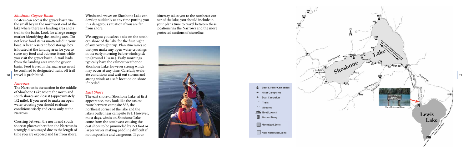#### *Shoshone Geyser Basin*

Boaters can access the geyser basin via the small bay in the northwest end of the lake where there is a landing area and a trail to the basin. Look for a large orange marker identifying the landing area. Do not leave food items unattended in your boat. A bear resistant food storage box is located at the landing area for you to store any food and odorous items while you visit the geyser basin. A trail leads from the landing area into the geyser basin. Foot travel in thermal areas must be confined to designated trails, off trail 20 travel is prohibited.

#### *Narrows*

The Narrows is the section in the middle of Shoshone Lake where the north and south shores are closest (approximately 1/2 mile). If you need to make an open water crossing you should evaluate conditions wisely and cross only at the Narrows.

We suggest you select a site on the southern shore of the lake for the first night of any overnight trip. Plan itineraries so that you make any open water crossings in the early morning before winds pick up (around 10 a.m.). Early mornings typically have the calmest weather on Shoshone Lake, however strong winds may occur at any time. Carefully evalu ate conditions and wait out storms and strong winds at a safe location on shore if needed.

Crossing between the north and south shore at places other than the Narrows is strongly discouraged due to the length of time you are exposed and far from shore.

itinerary takes you to the northeast cor ner of the lake, you should include in your plans time to travel between these locations via the Narrows and the more protected sections of shoreline.



Winds and waves on Shoshone Lake can develop suddenly at any time putting you in a dangerous situation if you are far from shore.

#### *East Shore*

The east shore of Shoshone Lake, at first appearance, may look like the easiest route between campsite 8S2, the northeast corner of the lake and the lake's outlet near campsite 8S1. However, most days, winds on Shoshone Lake come from the southwest causing the east shore to be pummeled by 2-3 foot or larger waves making paddling difficult if not impossible and dangerous. If your